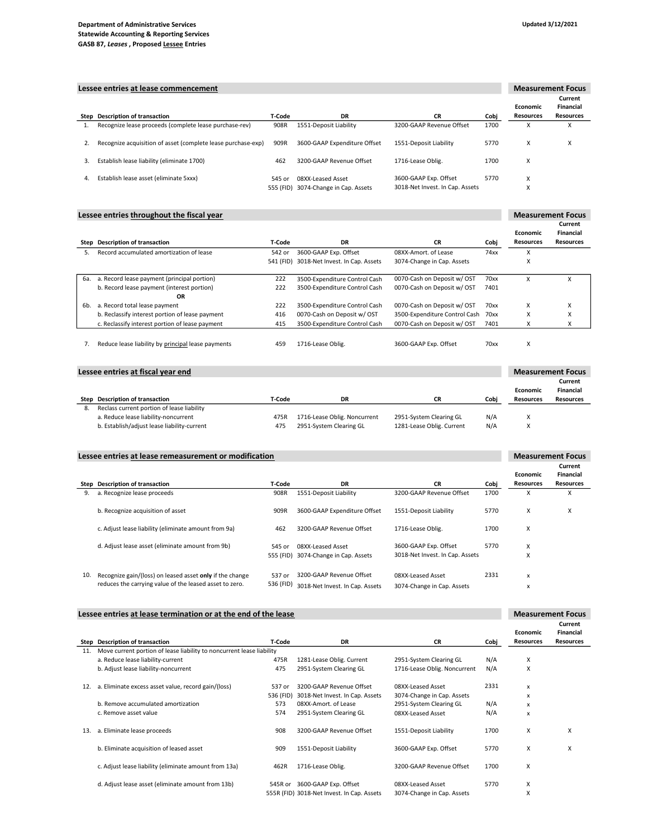#### Department of Administrative Services Statewide Accounting & Reporting Services GASB 87, Leases , Proposed Lessee Entries

|    | Lessee entries at lease commencement<br><b>Measurement Focus</b> |        |                                      |                                 |      |                  |                   |
|----|------------------------------------------------------------------|--------|--------------------------------------|---------------------------------|------|------------------|-------------------|
|    |                                                                  |        |                                      |                                 |      |                  | Current           |
|    |                                                                  |        |                                      |                                 |      | Economic         | Financial         |
|    | Step Description of transaction                                  | T-Code | DR                                   | <b>CR</b>                       | Cobi | <b>Resources</b> | <b>Resources</b>  |
|    | Recognize lease proceeds (complete lease purchase-rev)           | 908R   | 1551-Deposit Liability               | 3200-GAAP Revenue Offset        | 1700 | x                | $\checkmark$<br>A |
| 2. | Recognize acquisition of asset (complete lease purchase-exp)     | 909R   | 3600-GAAP Expenditure Offset         | 1551-Deposit Liability          | 5770 | X                | X                 |
| 3. | Establish lease liability (eliminate 1700)                       | 462    | 3200-GAAP Revenue Offset             | 1716-Lease Oblig.               | 1700 | X                |                   |
| 4. | Establish lease asset (eliminate 5xxx)                           | 545 or | 08XX-Leased Asset                    | 3600-GAAP Exp. Offset           | 5770 | x                |                   |
|    |                                                                  |        | 555 (FID) 3074-Change in Cap. Assets | 3018-Net Invest. In Cap. Assets |      |                  |                   |

## Lessee entries throughout the fiscal year

| Step | Description of transaction                         | T-Code    | DR                              | <b>CR</b>                     | Cobi | <b>Economic</b><br><b>Resources</b> | Financial<br><b>Resources</b> |
|------|----------------------------------------------------|-----------|---------------------------------|-------------------------------|------|-------------------------------------|-------------------------------|
| 5.   | Record accumulated amortization of lease           | 542 or    | 3600-GAAP Exp. Offset           | 08XX-Amort, of Lease          | 74xx | X                                   |                               |
|      |                                                    | 541 (FID) | 3018-Net Invest. In Cap. Assets | 3074-Change in Cap. Assets    |      | v                                   |                               |
| 6a.  | a. Record lease payment (principal portion)        | 222       | 3500-Expenditure Control Cash   | 0070-Cash on Deposit w/ OST   | 70xx | x                                   | x                             |
|      | b. Record lease payment (interest portion)         | 222       | 3500-Expenditure Control Cash   | 0070-Cash on Deposit w/ OST   | 7401 |                                     |                               |
|      | OR                                                 |           |                                 |                               |      |                                     |                               |
| 6b.  | a. Record total lease payment                      | 222       | 3500-Expenditure Control Cash   | 0070-Cash on Deposit w/ OST   | 70xx | X                                   | X                             |
|      | b. Reclassify interest portion of lease payment    | 416       | 0070-Cash on Deposit w/ OST     | 3500-Expenditure Control Cash | 70xx | x                                   | ν<br>$\lambda$                |
|      | c. Reclassify interest portion of lease payment    | 415       | 3500-Expenditure Control Cash   | 0070-Cash on Deposit w/ OST   | 7401 | X                                   |                               |
|      |                                                    |           |                                 |                               |      |                                     |                               |
|      | Reduce lease liability by principal lease payments | 459       | 1716-Lease Oblig.               | 3600-GAAP Exp. Offset         | 70xx | X                                   |                               |

### Lessee entries at fiscal year end

| Lessee entries at fiscal year end |                                             | <b>Measurement Focus</b> |                              |                           |      |                  |                      |
|-----------------------------------|---------------------------------------------|--------------------------|------------------------------|---------------------------|------|------------------|----------------------|
|                                   |                                             |                          |                              |                           |      | Economic         | Current<br>Financial |
|                                   | Step Description of transaction             | T-Code                   | DR                           | <b>CR</b>                 | Cobi | <b>Resources</b> | <b>Resources</b>     |
| 8.                                | Reclass current portion of lease liability  |                          |                              |                           |      |                  |                      |
|                                   | a. Reduce lease liability-noncurrent        | 475R                     | 1716-Lease Oblig. Noncurrent | 2951-System Clearing GL   | N/A  |                  |                      |
|                                   | b. Establish/adjust lease liability-current | 475                      | 2951-System Clearing GL      | 1281-Lease Oblig. Current | N/A  | v                |                      |

# Lessee entries at lease remeasurement or modification

|     |                                                          |           |                                 |                                 |      | <b>Economic</b>  | Current<br>Financial |
|-----|----------------------------------------------------------|-----------|---------------------------------|---------------------------------|------|------------------|----------------------|
|     | Step Description of transaction                          | T-Code    | <b>DR</b>                       | <b>CR</b>                       | Cobi | <b>Resources</b> | <b>Resources</b>     |
| 9.  | a. Recognize lease proceeds                              | 908R      | 1551-Deposit Liability          | 3200-GAAP Revenue Offset        | 1700 | X                | X                    |
|     | b. Recognize acquisition of asset                        | 909R      | 3600-GAAP Expenditure Offset    | 1551-Deposit Liability          | 5770 | X                | X                    |
|     | c. Adjust lease liability (eliminate amount from 9a)     | 462       | 3200-GAAP Revenue Offset        | 1716-Lease Oblig.               | 1700 | X                |                      |
|     | d. Adjust lease asset (eliminate amount from 9b)         | 545 or    | 08XX-Leased Asset               | 3600-GAAP Exp. Offset           | 5770 | X                |                      |
|     |                                                          | 555 (FID) | 3074-Change in Cap. Assets      | 3018-Net Invest. In Cap. Assets |      | X                |                      |
| 10. | Recognize gain/(loss) on leased asset only if the change | 537 or    | 3200-GAAP Revenue Offset        | 08XX-Leased Asset               | 2331 | x                |                      |
|     | reduces the carrying value of the leased asset to zero.  | 536 (FID) | 3018-Net Invest. In Cap. Assets | 3074-Change in Cap. Assets      |      | x                |                      |

### Lessee entries at lease termination or at the end of the lease

|      |                                                                       |           |                                            |                              |      | <b>Economic</b>  | <b>Financial</b> |
|------|-----------------------------------------------------------------------|-----------|--------------------------------------------|------------------------------|------|------------------|------------------|
| Step | <b>Description of transaction</b>                                     | T-Code    | <b>DR</b>                                  | <b>CR</b>                    | Cobj | <b>Resources</b> | <b>Resources</b> |
| 11.  | Move current portion of lease liability to noncurrent lease liability |           |                                            |                              |      |                  |                  |
|      | a. Reduce lease liability-current                                     | 475R      | 1281-Lease Oblig. Current                  | 2951-System Clearing GL      | N/A  | X                |                  |
|      | b. Adjust lease liability-noncurrent                                  | 475       | 2951-System Clearing GL                    | 1716-Lease Oblig. Noncurrent | N/A  | X                |                  |
| 12.  | a. Eliminate excess asset value, record gain/(loss)                   | 537 or    | 3200-GAAP Revenue Offset                   | 08XX-Leased Asset            | 2331 | x                |                  |
|      |                                                                       | 536 (FID) | 3018-Net Invest. In Cap. Assets            | 3074-Change in Cap. Assets   |      | x                |                  |
|      | b. Remove accumulated amortization                                    | 573       | 08XX-Amort, of Lease                       | 2951-System Clearing GL      | N/A  | x                |                  |
|      | c. Remove asset value                                                 | 574       | 2951-System Clearing GL                    | 08XX-Leased Asset            | N/A  | x                |                  |
| 13.  | a. Eliminate lease proceeds                                           | 908       | 3200-GAAP Revenue Offset                   | 1551-Deposit Liability       | 1700 | X                | x                |
|      | b. Eliminate acquisition of leased asset                              | 909       | 1551-Deposit Liability                     | 3600-GAAP Exp. Offset        | 5770 | X                | x                |
|      | c. Adjust lease liability (eliminate amount from 13a)                 | 462R      | 1716-Lease Oblig.                          | 3200-GAAP Revenue Offset     | 1700 | X                |                  |
|      | d. Adjust lease asset (eliminate amount from 13b)                     | 545R or   | 3600-GAAP Exp. Offset                      | 08XX-Leased Asset            | 5770 | X                |                  |
|      |                                                                       |           | 555R (FID) 3018-Net Invest. In Cap. Assets | 3074-Change in Cap. Assets   |      | X                |                  |

**Current** 

Measurement Focus

Current

Measurement Focus

Measurement Focus